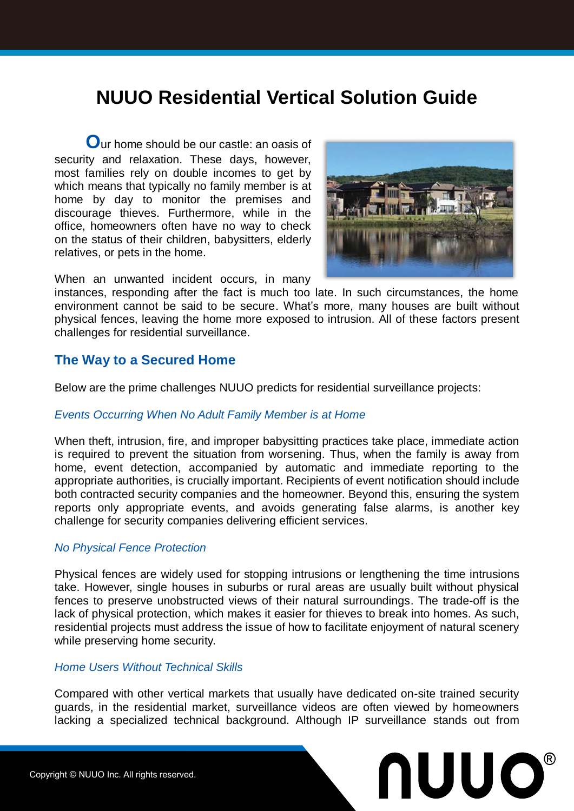# **NUUO Residential Vertical Solution Guide**

**O**ur home should be our castle: an oasis of security and relaxation. These days, however, most families rely on double incomes to get by which means that typically no family member is at home by day to monitor the premises and discourage thieves. Furthermore, while in the office, homeowners often have no way to check on the status of their children, babysitters, elderly relatives, or pets in the home.



When an unwanted incident occurs, in many

instances, responding after the fact is much too late. In such circumstances, the home environment cannot be said to be secure. What's more, many houses are built without physical fences, leaving the home more exposed to intrusion. All of these factors present challenges for residential surveillance.

## **The Way to a Secured Home**

Below are the prime challenges NUUO predicts for residential surveillance projects:

#### *Events Occurring When No Adult Family Member is at Home*

When theft, intrusion, fire, and improper babysitting practices take place, immediate action is required to prevent the situation from worsening. Thus, when the family is away from home, event detection, accompanied by automatic and immediate reporting to the appropriate authorities, is crucially important. Recipients of event notification should include both contracted security companies and the homeowner. Beyond this, ensuring the system reports only appropriate events, and avoids generating false alarms, is another key challenge for security companies delivering efficient services.

#### *No Physical Fence Protection*

Physical fences are widely used for stopping intrusions or lengthening the time intrusions take. However, single houses in suburbs or rural areas are usually built without physical fences to preserve unobstructed views of their natural surroundings. The trade-off is the lack of physical protection, which makes it easier for thieves to break into homes. As such, residential projects must address the issue of how to facilitate enjoyment of natural scenery while preserving home security.

#### *Home Users Without Technical Skills*

Compared with other vertical markets that usually have dedicated on-site trained security guards, in the residential market, surveillance videos are often viewed by homeowners lacking a specialized technical background. Although IP surveillance stands out from

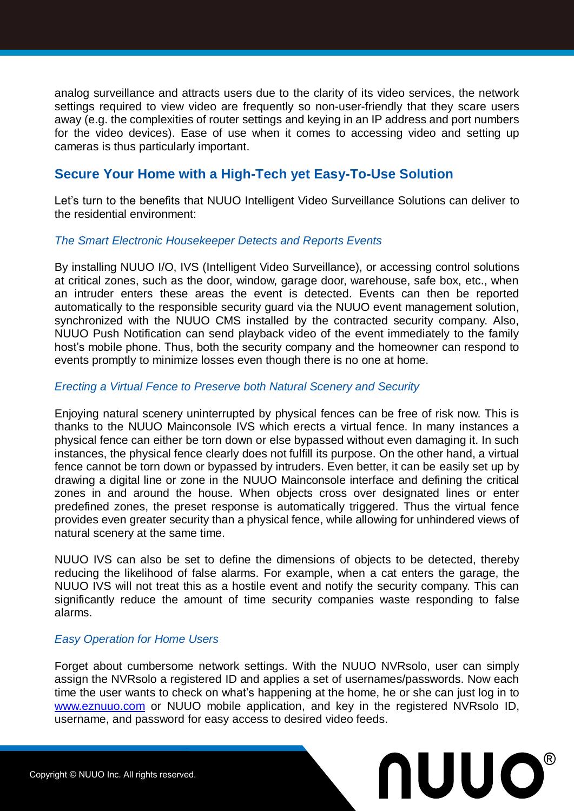analog surveillance and attracts users due to the clarity of its video services, the network settings required to view video are frequently so non-user-friendly that they scare users away (e.g. the complexities of router settings and keying in an IP address and port numbers for the video devices). Ease of use when it comes to accessing video and setting up cameras is thus particularly important.

# **Secure Your Home with a High-Tech yet Easy-To-Use Solution**

Let's turn to the benefits that NUUO Intelligent Video Surveillance Solutions can deliver to the residential environment:

#### *The Smart Electronic Housekeeper Detects and Reports Events*

By installing NUUO I/O, IVS (Intelligent Video Surveillance), or accessing control solutions at critical zones, such as the door, window, garage door, warehouse, safe box, etc., when an intruder enters these areas the event is detected. Events can then be reported automatically to the responsible security guard via the NUUO event management solution, synchronized with the NUUO CMS installed by the contracted security company. Also, NUUO Push Notification can send playback video of the event immediately to the family host's mobile phone. Thus, both the security company and the homeowner can respond to events promptly to minimize losses even though there is no one at home.

#### *Erecting a Virtual Fence to Preserve both Natural Scenery and Security*

Enjoying natural scenery uninterrupted by physical fences can be free of risk now. This is thanks to the NUUO Mainconsole IVS which erects a virtual fence. In many instances a physical fence can either be torn down or else bypassed without even damaging it. In such instances, the physical fence clearly does not fulfill its purpose. On the other hand, a virtual fence cannot be torn down or bypassed by intruders. Even better, it can be easily set up by drawing a digital line or zone in the NUUO Mainconsole interface and defining the critical zones in and around the house. When objects cross over designated lines or enter predefined zones, the preset response is automatically triggered. Thus the virtual fence provides even greater security than a physical fence, while allowing for unhindered views of natural scenery at the same time.

NUUO IVS can also be set to define the dimensions of objects to be detected, thereby reducing the likelihood of false alarms. For example, when a cat enters the garage, the NUUO IVS will not treat this as a hostile event and notify the security company. This can significantly reduce the amount of time security companies waste responding to false alarms.

#### *Easy Operation for Home Users*

Forget about cumbersome network settings. With the NUUO NVRsolo, user can simply assign the NVRsolo a registered ID and applies a set of usernames/passwords. Now each time the user wants to check on what's happening at the home, he or she can just log in to [www.eznuuo.com](http://www.eznuuo.com/) or NUUO mobile application, and key in the registered NVRsolo ID, username, and password for easy access to desired video feeds.